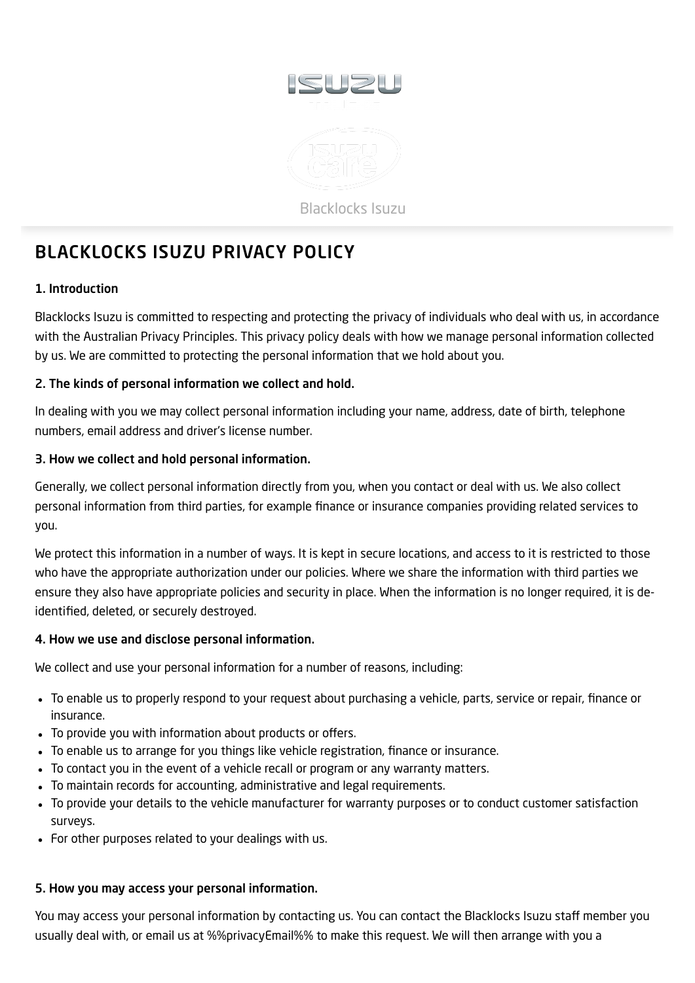

# <span id="page-0-0"></span>BLACKLOCKS ISUZU PRIVACY POLICY

## 1. Introduction

Blacklocks Isuzu is committed to respecting and protecting the privacy of individuals who deal with us, in accordance with the Australian Privacy Principles. This privacy policy deals with how we manage personal information collected by us. We are committed to protecting the personal information that we hold about you.

## 2. The kinds of personal information we collect and hold.

In dealing with you we may collect personal information including your name, address, date of birth, telephone numbers, email address and driver's license number.

## 3. How we collect and hold personal information.

Generally, we collect personal information directly from you, when you contact or deal with us. We also collect personal information from third parties, for example finance or insurance companies providing related services to you.

We protect this information in a number of ways. It is kept in secure locations, and access to it is restricted to those who have the appropriate authorization under our policies. Where we share the information with third parties we ensure they also have appropriate policies and security in place. When the information is no longer required, it is deidentified, deleted, or securely destroyed.

## 4. How we use and disclose personal information.

We collect and use your personal information for a number of reasons, including:

- To enable us to properly respond to your request about purchasing a vehicle, parts, service or repair, finance or insurance.
- To provide you with information about products or offers.
- To enable us to arrange for you things like vehicle registration, finance or insurance.
- To contact you in the event of a vehicle recall or program or any warranty matters.
- To maintain records for accounting, administrative and legal requirements.
- To provide your details to the vehicle manufacturer for warranty purposes or to conduct customer satisfaction surveys.
- For other purposes related to your dealings with us.

## 5. How you may access your personal information.

You may access your personal information by contacting us. You can contact the Blacklocks Isuzu staff member you usually deal with, or email us at %%privacyEmail%% to make this request. We will then arrange with you a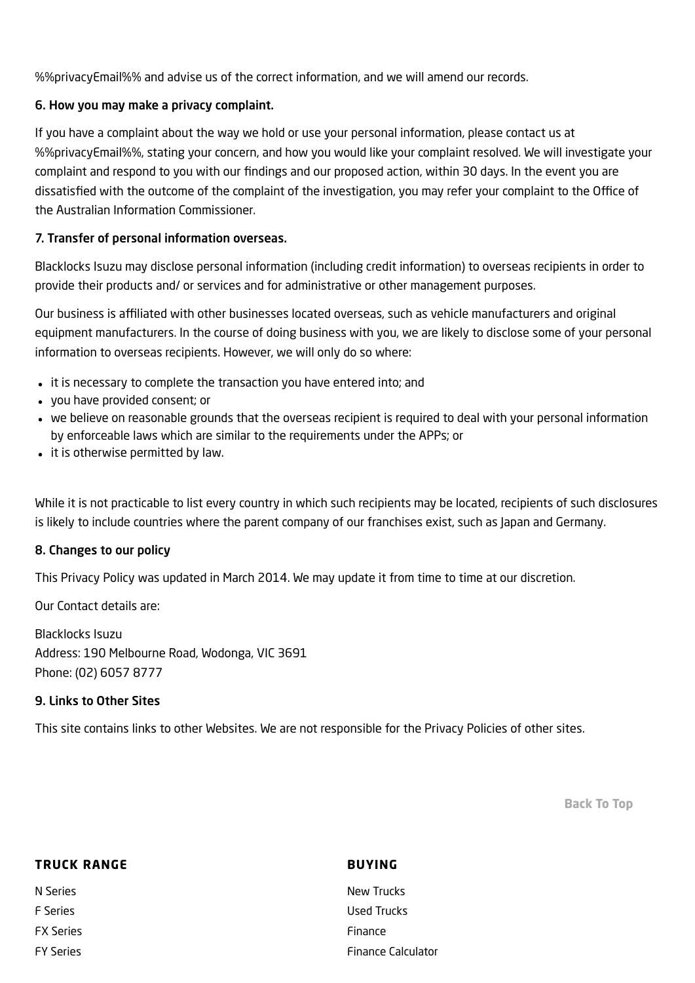%%privacyEmail%% and advise us of the correct information, and we will amend our records.

#### 6. How you may make a privacy complaint.

If you have a complaint about the way we hold or use your personal information, please contact us at %%privacyEmail%%, stating your concern, and how you would like your complaint resolved. We will investigate your complaint and respond to you with our findings and our proposed action, within 30 days. In the event you are dissatisfied with the outcome of the complaint of the investigation, you may refer your complaint to the Office of the Australian Information Commissioner.

#### 7. Transfer of personal information overseas.

Blacklocks Isuzu may disclose personal information (including credit information) to overseas recipients in order to provide their products and/ or services and for administrative or other management purposes.

Our business is affiliated with other businesses located overseas, such as vehicle manufacturers and original equipment manufacturers. In the course of doing business with you, we are likely to disclose some of your personal information to overseas recipients. However, we will only do so where:

- it is necessary to complete the transaction you have entered into; and
- you have provided consent; or
- we believe on reasonable grounds that the overseas recipient is required to deal with your personal information by enforceable laws which are similar to the requirements under the APPs; or
- it is otherwise permitted by law.

While it is not practicable to list every country in which such recipients may be located, recipients of such disclosures is likely to include countries where the parent company of our franchises exist, such as Japan and Germany.

#### 8. Changes to our policy

This Privacy Policy was updated in March 2014. We may update it from time to time at our discretion.

Our Contact details are:

Blacklocks Isuzu Address: 190 Melbourne Road, Wodonga, VIC 3691 Phone: (02) 6057 8777

#### 9. Links to Other Sites

This site contains links to other Websites. We are not responsible for the Privacy Policies of other sites.

[Back](#page-0-0) To Top

| <b>TRUCK RANGE</b> | <b>BUYING</b>             |
|--------------------|---------------------------|
| N Series           | New Trucks                |
| F Series           | Used Trucks               |
| <b>FX Series</b>   | Finance                   |
| <b>FY Series</b>   | <b>Finance Calculator</b> |